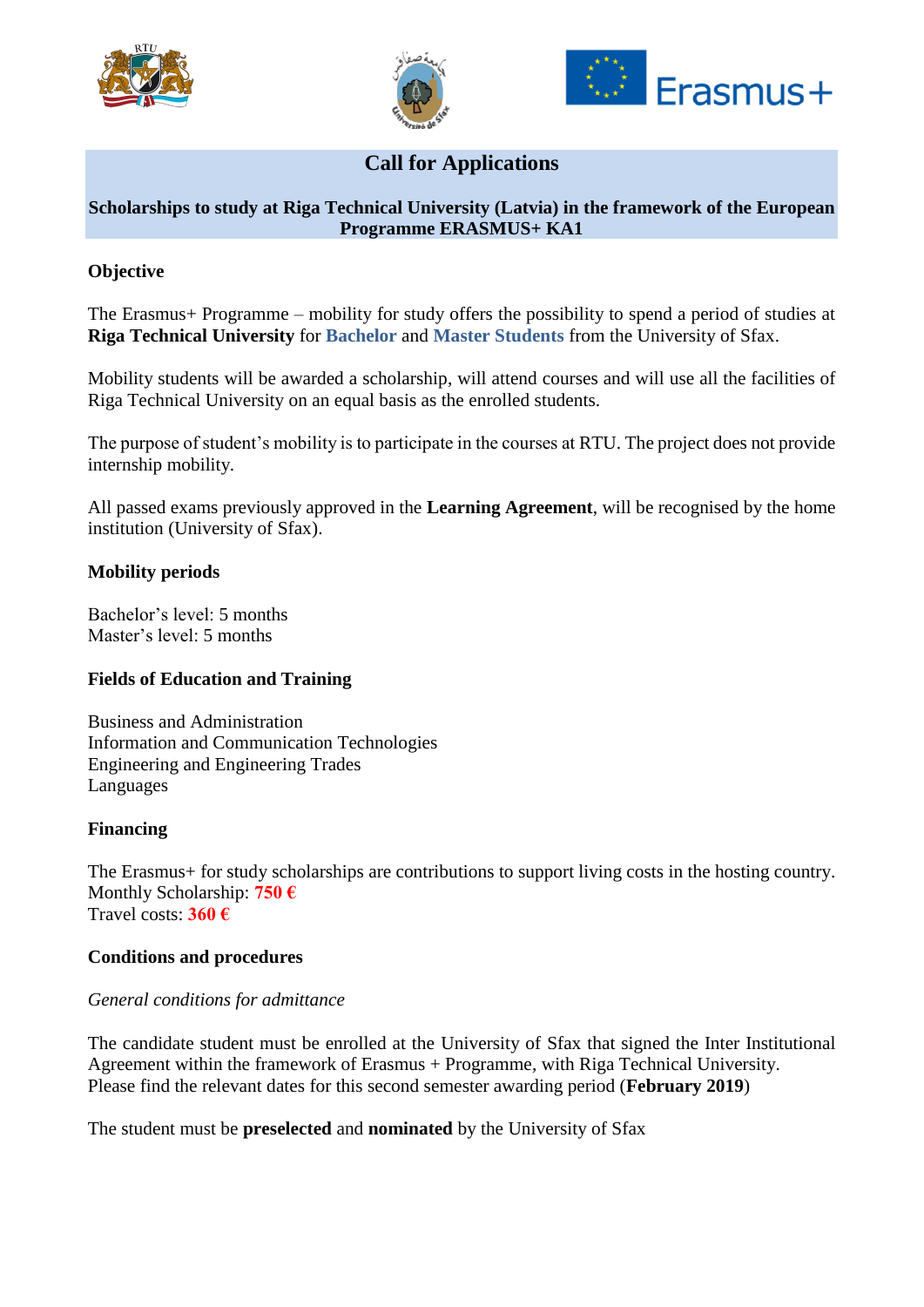





# **Call for Applications**

# **Scholarships to study at Riga Technical University (Latvia) in the framework of the European Programme ERASMUS+ KA1**

### **Objective**

The Erasmus+ Programme – mobility for study offers the possibility to spend a period of studies at **Riga Technical University** for **Bachelor** and **Master Students** from the University of Sfax.

Mobility students will be awarded a scholarship, will attend courses and will use all the facilities of Riga Technical University on an equal basis as the enrolled students.

The purpose of student's mobility is to participate in the courses at RTU. The project does not provide internship mobility.

All passed exams previously approved in the **Learning Agreement**, will be recognised by the home institution (University of Sfax).

#### **Mobility periods**

Bachelor's level: 5 months Master's level: 5 months

#### **Fields of Education and Training**

Business and Administration Information and Communication Technologies Engineering and Engineering Trades Languages

#### **Financing**

The Erasmus+ for study scholarships are contributions to support living costs in the hosting country. Monthly Scholarship: **750 €** Travel costs: **360 €**

#### **Conditions and procedures**

#### *General conditions for admittance*

The candidate student must be enrolled at the University of Sfax that signed the Inter Institutional Agreement within the framework of Erasmus + Programme, with Riga Technical University. Please find the relevant dates for this second semester awarding period (**February 2019**)

The student must be **preselected** and **nominated** by the University of Sfax